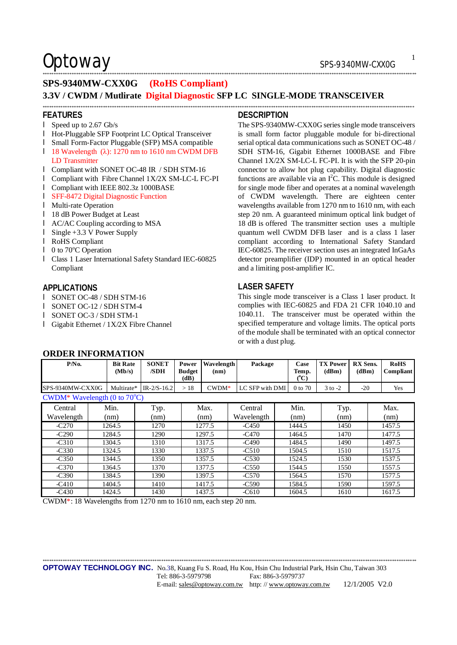# Optoway SPS-9340MW-CXX0G

### **SPS-9340MW-CXX0G (RoHS Compliant)**

### **3.3V / CWDM / Mutlirate Digital Diagnostic SFP LC SINGLE-MODE TRANSCEIVER**

\*\*\*\*\*\*\*\*\*\*\*\*\*\*\*\*\*\*\*\*\*\*\*\*\*\*\*\*\*\*\*\*\*\*\*\*\*\*\*\*\*\*\*\*\*\*\*\*\*\*\*\*\*\*\*\*\*\*\*\*\*\*\*\*\*\*\*\*\*\*\*\*\*\*\*\*\*\*\*\*\*\*\*\*\*\*\*\*\*\*\*\*\*\*\*\*\*\*\*\*\*\*\*\*\*\*\*\*\*\*\*\*\*\*\*\*\*\*\*\*\*\*\*\*\*\*\*\*\*\*\*\*\*\*\*\*\*\*\*\*\*\*\*\*\*\*\*\*\*\*\*\*\*\*\*\*\*\*\*\*\*\*\*\*\*\*

#### **FEATURES**

- l Speed up to 2.67 Gb/s
- l Hot-Pluggable SFP Footprint LC Optical Transceiver
- l Small Form-Factor Pluggable (SFP) MSA compatible
- l 18 Wavelength (λ): 1270 nm to 1610 nm CWDM DFB LD Transmitter
- l Compliant with SONET OC-48 IR / SDH STM-16
- l Compliant with Fibre Channel 1X/2X SM-LC-L FC-PI
- l Compliant with IEEE 802.3z 1000BASE
- l SFF-8472 Digital Diagnostic Function
- l Multi-rate Operation
- l 18 dB Power Budget at Least
- l AC/AC Coupling according to MSA
- l Single +3.3 V Power Supply
- l RoHS Compliant
- $\blacksquare$  0 to 70 $\degree$ C Operation
- l Class 1 Laser International Safety Standard IEC-60825 Compliant

#### **APPLICATIONS**

- l SONET OC-48 / SDH STM-16
- l SONET OC-12 / SDH STM-4
- l SONET OC-3 / SDH STM-1

**ORDER INFORMATION** 

l Gigabit Ethernet / 1X/2X Fibre Channel

#### **DESCRIPTION**

\*\*\*\*\*\*\*\*\*\*\*\*\*\*\*\*\*\*\*\*\*\*\*\*\*\*\*\*\*\*\*\*\*\*\*\*\*\*\*\*\*\*\*\*\*\*\*\*\*\*\*\*\*\*\*\*\*\*\*\*\*\*\*\*\*\*\*\*\*\*\*\*\*\*\*\*\*\*\*\*\*\*\*\*\*\*\*\*\*\*\*\*\*\*\*\*\*\*\*\*\*\*\*\*\*\*\*\*\*\*\*\*\*\*\*\*\*\*\*\*\*\*\*\*\*\*\*\*\*\*\*\*\*\*\*\*\*\*\*\*\*\*\*\*\*\*\*\*\*\*\*\*\*\*\*\*\*\*\*\*\*\*\*\*\*\*\*

The SPS-9340MW-CXX0G series single mode transceivers is small form factor pluggable module for bi-directional serial optical data communications such as SONET OC-48 / SDH STM-16, Gigabit Ethernet 1000BASE and Fibre Channel 1X/2X SM-LC-L FC-PI. It is with the SFP 20-pin connector to allow hot plug capability. Digital diagnostic functions are available via an  $I<sup>2</sup>C$ . This module is designed for single mode fiber and operates at a nominal wavelength of CWDM wavelength. There are eighteen center wavelengths available from 1270 nm to 1610 nm, with each step 20 nm. A guaranteed minimum optical link budget of 18 dB is offered The transmitter section uses a multiple quantum well CWDM DFB laser and is a class 1 laser compliant according to International Safety Standard IEC-60825. The receiver section uses an integrated InGaAs detector preamplifier (IDP) mounted in an optical header and a limiting post-amplifier IC.

### **LASER SAFETY**

This single mode transceiver is a Class 1 laser product. It complies with IEC-60825 and FDA 21 CFR 1040.10 and 1040.11. The transceiver must be operated within the specified temperature and voltage limits. The optical ports of the module shall be terminated with an optical connector or with a dust plug.

| P/No.                              | <b>Bit Rate</b><br>(Mb/s) | <b>SONET</b><br>/SDH           | Power<br><b>Budget</b><br>(dB) | Wavelength<br>(nm) | Package         | Case<br>Temp.<br>$\rm ^{o}\rm C$ | <b>TX Power</b><br>(dBm) | <b>RX Sens.</b><br>(dBm) | <b>RoHS</b><br><b>Compliant</b> |
|------------------------------------|---------------------------|--------------------------------|--------------------------------|--------------------|-----------------|----------------------------------|--------------------------|--------------------------|---------------------------------|
| SPS-9340MW-CXX0G                   |                           | Multirate* $\vert$ IR-2/S-16.2 | >18                            | $CWDM*$            | LC SFP with DMI | $0 \text{ to } 70$               | 3 to -2                  | $-20$                    | Yes                             |
| $CUMNA * Wovolom + b / 0 + c 700C$ |                           |                                |                                |                    |                 |                                  |                          |                          |                                 |

| $\mathbf{U}$ W $\mathbf{D}$ W $\mathbf{W}$ w avelength (V to $\mathbf{U}$ U |        |      |        |            |        |      |        |  |  |
|-----------------------------------------------------------------------------|--------|------|--------|------------|--------|------|--------|--|--|
| Central                                                                     | Min.   | Typ. | Max.   | Central    | Min.   | Typ. | Max.   |  |  |
| Wavelength                                                                  | (nm)   | (nm) | (nm)   | Wavelength | (nm)   | (nm) | (nm)   |  |  |
| $-C270$                                                                     | 1264.5 | 1270 | 1277.5 | $-C450$    | 1444.5 | 1450 | 1457.5 |  |  |
| $-C290$                                                                     | 1284.5 | 1290 | 1297.5 | $-C470$    | 1464.5 | 1470 | 1477.5 |  |  |
| $-C310$                                                                     | 1304.5 | 1310 | 1317.5 | $-C490$    | 1484.5 | 1490 | 1497.5 |  |  |
| $-C330$                                                                     | 1324.5 | 1330 | 1337.5 | $-C510$    | 1504.5 | 1510 | 1517.5 |  |  |
| $-C350$                                                                     | 1344.5 | 1350 | 1357.5 | $-C530$    | 1524.5 | 1530 | 1537.5 |  |  |
| $-C370$                                                                     | 1364.5 | 1370 | 1377.5 | $-C550$    | 1544.5 | 1550 | 1557.5 |  |  |
| $-C390$                                                                     | 1384.5 | 1390 | 1397.5 | $-C570$    | 1564.5 | 1570 | 1577.5 |  |  |
| $-C410$                                                                     | 1404.5 | 1410 | 1417.5 | $-C590$    | 1584.5 | 1590 | 1597.5 |  |  |
| $-C430$                                                                     | 1424.5 | 1430 | 1437.5 | $-C610$    | 1604.5 | 1610 | 1617.5 |  |  |

CWDM\*: 18 Wavelengths from 1270 nm to 1610 nm, each step 20 nm.

\*\*\*\*\*\*\*\*\*\*\*\*\*\*\*\*\*\*\*\*\*\*\*\*\*\*\*\*\*\*\*\*\*\*\*\*\*\*\*\*\*\*\*\*\*\*\*\*\*\*\*\*\*\*\*\*\*\*\*\*\*\*\*\*\*\*\*\*\*\*\*\*\*\*\*\*\*\*\*\*\*\*\*\*\*\*\*\*\*\*\*\*\*\*\*\*\*\*\*\*\*\*\*\*\*\*\*\*\*\*\*\*\*\*\*\*\*\*\*\*\*\*\*\*\*\*\*\*\*\*\*\*\*\*\*\*\*\*\*\*\*\*\*\*\*\*\*\*\*\*\*\*\*\*\*\*\*\*\*\*\*\*\*\*\*\*\*

1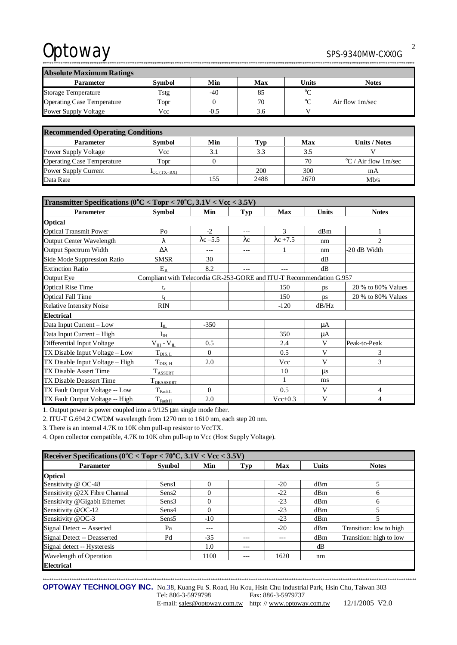# Optoway SPS-9340MW-CXX0G

\*\*\*\*\*\*\*\*\*\*\*\*\*\*\*\*\*\*\*\*\*\*\*\*\*\*\*\*\*\*\*\*\*\*\*\*\*\*\*\*\*\*\*\*\*\*\*\*\*\*\*\*\*\*\*\*\*\*\*\*\*\*\*\*\*\*\*\*\*\*\*\*\*\*\*\*\*\*\*\*\*\*\*\*\*\*\*\*\*\*\*\*\*\*\*\*\*\*\*\*\*\*\*\*\*\*\*\*\*\*\*\*\*\*\*\*\*\*\*\*\*\*\*\*\*\*\*\*\*\*\*\*\*\*\*\*\*\*\*\*\*\*\*\*\*\*\*\*\*\*\*\*\*\*\*\*\*\*\*\*\*\*\*\*\*\* **Absolute Maximum Ratings Parameter** Symbol Min Max Units Notes

| <b>Storage Temperature</b>        | Tstg           | -40    | υυ  |        |                 |
|-----------------------------------|----------------|--------|-----|--------|-----------------|
| <b>Operating Case Temperature</b> | $_{\rm{Topr}}$ |        | 70  | $\sim$ | Air flow 1m/sec |
| <b>Power Supply Voltage</b>       | Vcc            | $-0.5$ | J.U |        |                 |
|                                   |                |        |     |        |                 |

| <b>Recommended Operating Conditions</b> |                          |     |      |      |                                |  |  |
|-----------------------------------------|--------------------------|-----|------|------|--------------------------------|--|--|
| <b>Parameter</b>                        | <b>Symbol</b>            | Min | Typ  | Max  | Units / Notes                  |  |  |
| Power Supply Voltage                    | Vcc                      | 3.1 | 3.3  | 3.5  |                                |  |  |
| <b>Operating Case Temperature</b>       | Topr                     |     |      | 70   | $\mathrm{C}$ / Air flow 1m/sec |  |  |
| Power Supply Current                    | $\mathbf{I}_{CC(TX+RX)}$ |     | 200  | 300  | mA                             |  |  |
| Data Rate                               |                          | 155 | 2488 | 2670 | Mb/s                           |  |  |

| Transmitter Specifications ( $0^{\circ}$ C < Topr < 70 $^{\circ}$ C, 3.1V < Vcc < 3.5V)   |                       |                  |             |                   |              |                    |  |
|-------------------------------------------------------------------------------------------|-----------------------|------------------|-------------|-------------------|--------------|--------------------|--|
| Parameter                                                                                 | <b>Symbol</b>         | Min              | Typ         | Max               | <b>Units</b> | <b>Notes</b>       |  |
| <b>Optical</b>                                                                            |                       |                  |             |                   |              |                    |  |
| <b>Optical Transmit Power</b>                                                             | P <sub>0</sub>        | $-2$             |             | 3                 | dBm          |                    |  |
| Output Center Wavelength                                                                  | λ                     | $\lambda$ c -5.5 | $\lambda c$ | $\lambda c + 7.5$ | nm           | $\overline{2}$     |  |
| Output Spectrum Width                                                                     | Δλ                    | ---              | ---         | 1                 | nm           | -20 dB Width       |  |
| Side Mode Suppression Ratio                                                               | <b>SMSR</b>           | 30               |             |                   | dB           |                    |  |
| <b>Extinction Ratio</b>                                                                   | $E_R$                 | 8.2              |             |                   | dB           |                    |  |
| <b>Output Eye</b><br>Compliant with Telecordia GR-253-GORE and ITU-T Recommendation G.957 |                       |                  |             |                   |              |                    |  |
| <b>Optical Rise Time</b>                                                                  | $t_r$                 |                  |             | 150               | ps           | 20 % to 80% Values |  |
| <b>Optical Fall Time</b>                                                                  | te                    |                  |             | 150               | ps           | 20 % to 80% Values |  |
| <b>Relative Intensity Noise</b>                                                           | <b>RIN</b>            |                  |             | $-120$            | dB/Hz        |                    |  |
| <b>Electrical</b>                                                                         |                       |                  |             |                   |              |                    |  |
| Data Input Current - Low                                                                  | $\rm I_{IL}$          | $-350$           |             |                   | μA           |                    |  |
| Data Input Current - High                                                                 | $I_{IH}$              |                  |             | 350               | μA           |                    |  |
| Differential Input Voltage                                                                | $V_{IH} - V_{IL}$     | 0.5              |             | 2.4               | V            | Peak-to-Peak       |  |
| TX Disable Input Voltage - Low                                                            | $T_{\rm DIS, L}$      | $\Omega$         |             | 0.5               | V            | 3                  |  |
| TX Disable Input Voltage - High                                                           | $T_{\rm DIS,~H}$      | 2.0              |             | Vcc               | V            | 3                  |  |
| TX Disable Assert Time                                                                    | $T_{\text{ASSERT}}$   |                  |             | 10                | $\mu s$      |                    |  |
| TX Disable Deassert Time                                                                  | T <sub>DEASSERT</sub> |                  |             | 1                 | ms           |                    |  |
| TX Fault Output Voltage -- Low                                                            | $T_{\rm{FaultL}}$     | $\Omega$         |             | 0.5               | V            | 4                  |  |
| TX Fault Output Voltage -- High                                                           | $T_{\text{FaultH}}$   | 2.0              |             | $Vec{+}0.3$       | V            | $\overline{4}$     |  |

1. Output power is power coupled into a 9/125 μm single mode fiber.

2. ITU-T G.694.2 CWDM wavelength from 1270 nm to 1610 nm, each step 20 nm.

3. There is an internal 4.7K to 10K ohm pull-up resistor to VccTX.

4. Open collector compatible, 4.7K to 10K ohm pull-up to Vcc (Host Supply Voltage).

| Receiver Specifications ( $0^{\circ}$ C < Topr < 70 $^{\circ}$ C, 3.1V < Vcc < 3.5V) |                   |          |       |       |              |                         |  |
|--------------------------------------------------------------------------------------|-------------------|----------|-------|-------|--------------|-------------------------|--|
| <b>Parameter</b>                                                                     | <b>Symbol</b>     | Min      | Typ   | Max   | <b>Units</b> | <b>Notes</b>            |  |
| <b>Optical</b>                                                                       |                   |          |       |       |              |                         |  |
| Sensitivity @ OC-48                                                                  | Sens1             | $\Omega$ |       | $-20$ | dBm          |                         |  |
| Sensitivity @2X Fibre Channal                                                        | Sens <sub>2</sub> | 0        |       | $-22$ | dBm          | <sub>b</sub>            |  |
| Sensitivity @ Gigabit Ethernet                                                       | Sens3             | 0        |       | $-23$ | dBm          | 6                       |  |
| Sensitivity @OC-12                                                                   | Sens4             | $\Omega$ |       | $-23$ | dBm          |                         |  |
| Sensitivity @OC-3                                                                    | Sens <sub>5</sub> | $-10$    |       | $-23$ | dBm          | ጎ                       |  |
| Signal Detect -- Asserted                                                            | Pa                | $---$    |       | $-20$ | dBm          | Transition: low to high |  |
| Signal Detect -- Deasserted                                                          | Pd                | $-35$    |       |       | dBm          | Transition: high to low |  |
| Signal detect -- Hysteresis                                                          |                   | 1.0      | $---$ |       | dB           |                         |  |
| Wavelength of Operation                                                              |                   | 1100     | ---   | 1620  | nm           |                         |  |
| <b>Electrical</b>                                                                    |                   |          |       |       |              |                         |  |

\*\*\*\*\*\*\*\*\*\*\*\*\*\*\*\*\*\*\*\*\*\*\*\*\*\*\*\*\*\*\*\*\*\*\*\*\*\*\*\*\*\*\*\*\*\*\*\*\*\*\*\*\*\*\*\*\*\*\*\*\*\*\*\*\*\*\*\*\*\*\*\*\*\*\*\*\*\*\*\*\*\*\*\*\*\*\*\*\*\*\*\*\*\*\*\*\*\*\*\*\*\*\*\*\*\*\*\*\*\*\*\*\*\*\*\*\*\*\*\*\*\*\*\*\*\*\*\*\*\*\*\*\*\*\*\*\*\*\*\*\*\*\*\*\*\*\*\*\*\*\*\*\*\*\*\*\*\*\*\*\*\*\*\*\*\*\*

**OPTOWAY TECHNOLOGY INC.** No.38, Kuang Fu S. Road, Hu Kou, Hsin Chu Industrial Park, Hsin Chu, Taiwan 303

Tel: 886-3-5979798 Fax: 886-3-5979737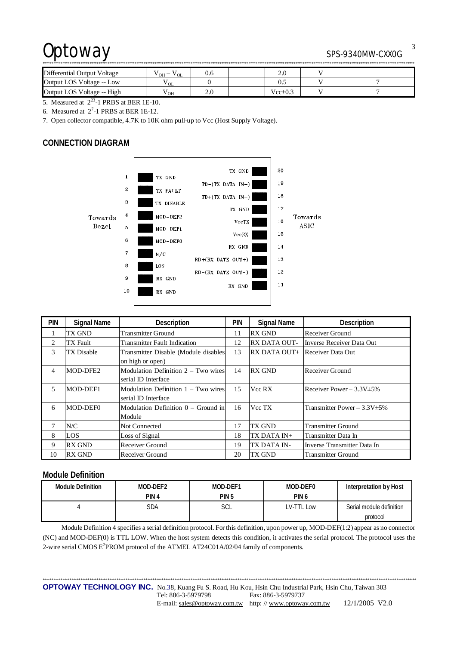# Optoway SPS-9340MW-CXX0G

| Differential Output Voltage | $V$ OH $-$<br>$\sim$ OL | U.6 |  |             |  |  |  |
|-----------------------------|-------------------------|-----|--|-------------|--|--|--|
| Output LOS Voltage -- Low   | YОL.                    |     |  |             |  |  |  |
| Output LOS Voltage -- High  | ' OH                    | Z.U |  | $Vec{+}0.3$ |  |  |  |

5. Measured at  $2^{23}$ -1 PRBS at BER 1E-10.

6. Measured at  $2^7$ -1 PRBS at BER 1E-12.

7. Open collector compatible, 4.7K to 10K ohm pull-up to Vcc (Host Supply Voltage).

# **CONNECTION DIAGRAM**



| <b>PIN</b>     | <b>Signal Name</b> | Description                           | <b>PIN</b> | <b>Signal Name</b>  | <b>Description</b>                 |
|----------------|--------------------|---------------------------------------|------------|---------------------|------------------------------------|
|                | TX GND             | <b>Transmitter Ground</b>             | 11         | <b>RX GND</b>       | Receiver Ground                    |
| 2              | <b>TX</b> Fault    | <b>Transmitter Fault Indication</b>   | 12         | <b>RX DATA OUT-</b> | Inverse Receiver Data Out          |
| 3              | TX Disable         | Transmitter Disable (Module disables  | 13         | RX DATA OUT+        | Receiver Data Out                  |
|                |                    | on high or open)                      |            |                     |                                    |
| 4              | MOD-DFE2           | Modulation Definition $2 - Two wires$ | 14         | <b>RX GND</b>       | Receiver Ground                    |
|                |                    | serial ID Interface                   |            |                     |                                    |
| $\overline{5}$ | MOD-DEF1           | Modulation Definition $1 - Two wires$ | 15         | Vcc RX              | Receiver Power $-3.3V \pm 5\%$     |
|                |                    | serial ID Interface                   |            |                     |                                    |
| 6              | MOD-DEF0           | Modulation Definition $0 -$ Ground in | 16         | Vcc TX              | Transmitter Power - $3.3V \pm 5\%$ |
|                |                    | Module                                |            |                     |                                    |
|                | N/C                | Not Connected                         | 17         | TX GND              | <b>Transmitter Ground</b>          |
| 8              | LOS                | Loss of Signal                        | 18         | TX DATA IN+         | Transmitter Data In                |
| 9              | <b>RX GND</b>      | Receiver Ground                       | 19         | TX DATA IN-         | Inverse Transmitter Data In        |
| 10             | <b>RX GND</b>      | Receiver Ground                       | 20         | TX GND              | Transmitter Ground                 |

### **Module Definition**

| Module Definition | MOD-DEF2         | MOD-DEF1         | MOD-DEF0    | Interpretation by Host   |
|-------------------|------------------|------------------|-------------|--------------------------|
|                   | PIN <sub>4</sub> | PIN <sub>5</sub> | PIN 6       |                          |
|                   | SDA              | SCL              | $V-TI$ I nw | Serial module definition |
|                   |                  |                  |             | protocol                 |

Module Definition 4 specifies a serial definition protocol. For this definition, upon power up, MOD-DEF(1:2) appear as no connector (NC) and MOD-DEF(0) is TTL LOW. When the host system detects this condition, it activates the serial protocol. The protocol uses the 2-wire serial CMOS E<sup>2</sup>PROM protocol of the ATMEL AT24C01A/02/04 family of components.